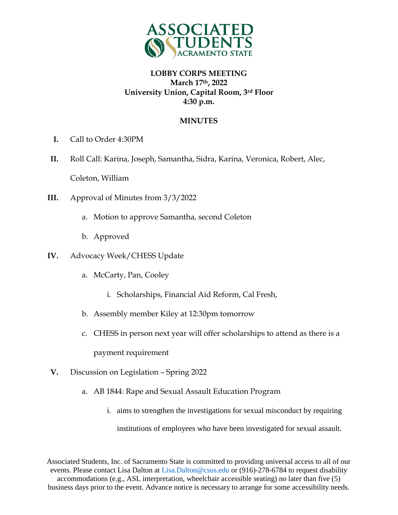

### **MINUTES**

- **I.** Call to Order 4:30PM
- **II.** Roll Call: Karina, Joseph, Samantha, Sidra, Karina, Veronica, Robert, Alec, Coleton, William
- **III.** Approval of Minutes from 3/3/2022
	- a. Motion to approve Samantha, second Coleton
	- b. Approved
- **IV.** Advocacy Week/CHESS Update
	- a. McCarty, Pan, Cooley
		- i. Scholarships, Financial Aid Reform, Cal Fresh,
	- b. Assembly member Kiley at 12:30pm tomorrow
	- c. CHESS in person next year will offer scholarships to attend as there is a

payment requirement

- **V.** Discussion on Legislation Spring 2022
	- a. AB 1844: Rape and Sexual Assault Education Program
		- i. aims to strengthen the investigations for sexual misconduct by requiring institutions of employees who have been investigated for sexual assault.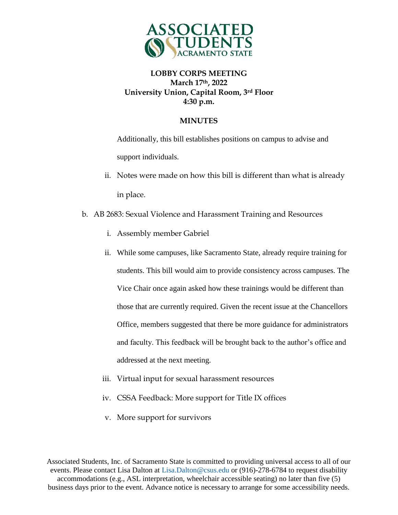

#### **MINUTES**

Additionally, this bill establishes positions on campus to advise and support individuals.

- ii. Notes were made on how this bill is different than what is already in place.
- b. AB 2683: Sexual Violence and Harassment Training and Resources
	- i. Assembly member Gabriel
	- ii. While some campuses, like Sacramento State, already require training for students. This bill would aim to provide consistency across campuses. The Vice Chair once again asked how these trainings would be different than those that are currently required. Given the recent issue at the Chancellors Office, members suggested that there be more guidance for administrators and faculty. This feedback will be brought back to the author's office and addressed at the next meeting.
	- iii. Virtual input for sexual harassment resources
	- iv. CSSA Feedback: More support for Title IX offices
	- v. More support for survivors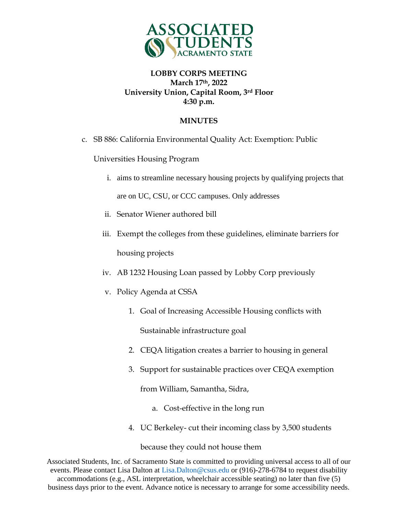

### **MINUTES**

c. SB 886: California Environmental Quality Act: Exemption: Public

Universities Housing Program

- i. aims to streamline necessary housing projects by qualifying projects that are on UC, CSU, or CCC campuses. Only addresses
- ii. Senator Wiener authored bill
- iii. Exempt the colleges from these guidelines, eliminate barriers for housing projects
- iv. AB 1232 Housing Loan passed by Lobby Corp previously
- v. Policy Agenda at CSSA
	- 1. Goal of Increasing Accessible Housing conflicts with Sustainable infrastructure goal
	- 2. CEQA litigation creates a barrier to housing in general
	- 3. Support for sustainable practices over CEQA exemption

from William, Samantha, Sidra,

- a. Cost-effective in the long run
- 4. UC Berkeley- cut their incoming class by 3,500 students

because they could not house them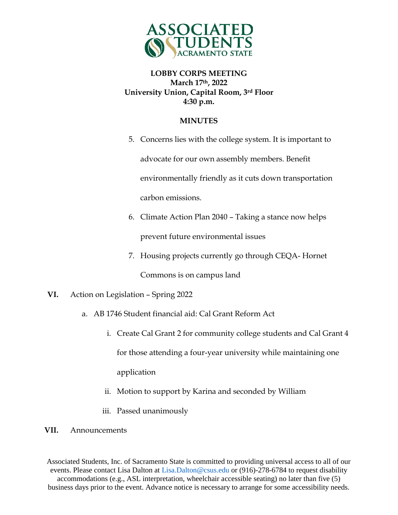

### **MINUTES**

- 5. Concerns lies with the college system. It is important to advocate for our own assembly members. Benefit environmentally friendly as it cuts down transportation carbon emissions.
- 6. Climate Action Plan 2040 Taking a stance now helps prevent future environmental issues
- 7. Housing projects currently go through CEQA- Hornet Commons is on campus land
- **VI.** Action on Legislation Spring 2022
	- a. AB 1746 Student financial aid: Cal Grant Reform Act
		- i. Create Cal Grant 2 for community college students and Cal Grant 4 for those attending a four-year university while maintaining one application
		- ii. Motion to support by Karina and seconded by William
		- iii. Passed unanimously
- **VII.** Announcements